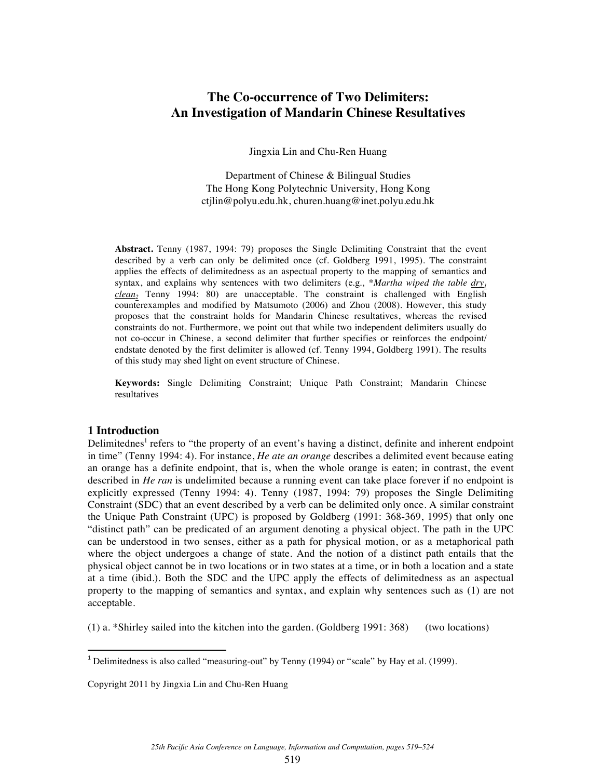# **The Co-occurrence of Two Delimiters: An Investigation of Mandarin Chinese Resultatives**

Jingxia Lin and Chu-Ren Huang

Department of Chinese & Bilingual Studies The Hong Kong Polytechnic University, Hong Kong ctjlin@polyu.edu.hk, churen.huang@inet.polyu.edu.hk

**Abstract.** Tenny (1987, 1994: 79) proposes the Single Delimiting Constraint that the event described by a verb can only be delimited once (cf. Goldberg 1991, 1995). The constraint applies the effects of delimitedness as an aspectual property to the mapping of semantics and syntax, and explains why sentences with two delimiters (e.g., \**Martha wiped the table dry<sub>1</sub> clean*, Tenny 1994: 80) are unacceptable. The constraint is challenged with English counterexamples and modified by Matsumoto (2006) and Zhou (2008). However, this study proposes that the constraint holds for Mandarin Chinese resultatives, whereas the revised constraints do not. Furthermore, we point out that while two independent delimiters usually do not co-occur in Chinese, a second delimiter that further specifies or reinforces the endpoint/ endstate denoted by the first delimiter is allowed (cf. Tenny 1994, Goldberg 1991). The results of this study may shed light on event structure of Chinese.

**Keywords:** Single Delimiting Constraint; Unique Path Constraint; Mandarin Chinese resultatives

## **1 Introduction**

Delimitednes<sup>1</sup> refers to "the property of an event's having a distinct, definite and inherent endpoint in time" (Tenny 1994: 4). For instance, *He ate an orange* describes a delimited event because eating an orange has a definite endpoint, that is, when the whole orange is eaten; in contrast, the event described in *He ran* is undelimited because a running event can take place forever if no endpoint is explicitly expressed (Tenny 1994: 4). Tenny (1987, 1994: 79) proposes the Single Delimiting Constraint (SDC) that an event described by a verb can be delimited only once. A similar constraint the Unique Path Constraint (UPC) is proposed by Goldberg (1991: 368-369, 1995) that only one "distinct path" can be predicated of an argument denoting a physical object. The path in the UPC can be understood in two senses, either as a path for physical motion, or as a metaphorical path where the object undergoes a change of state. And the notion of a distinct path entails that the physical object cannot be in two locations or in two states at a time, or in both a location and a state at a time (ibid.). Both the SDC and the UPC apply the effects of delimitedness as an aspectual property to the mapping of semantics and syntax, and explain why sentences such as (1) are not acceptable.

(1) a. \*Shirley sailed into the kitchen into the garden. (Goldberg 1991: 368) (two locations)

!!!!!!!!!!!!!!!!!!!!!!!!!!!!!!!!!!!!!!!!!!!!!!!!!!!!!!!!!!!!

<sup>&</sup>lt;sup>1</sup> Delimitedness is also called "measuring-out" by Tenny (1994) or "scale" by Hay et al. (1999).

Copyright 2011 by Jingxia Lin and Chu-Ren Huang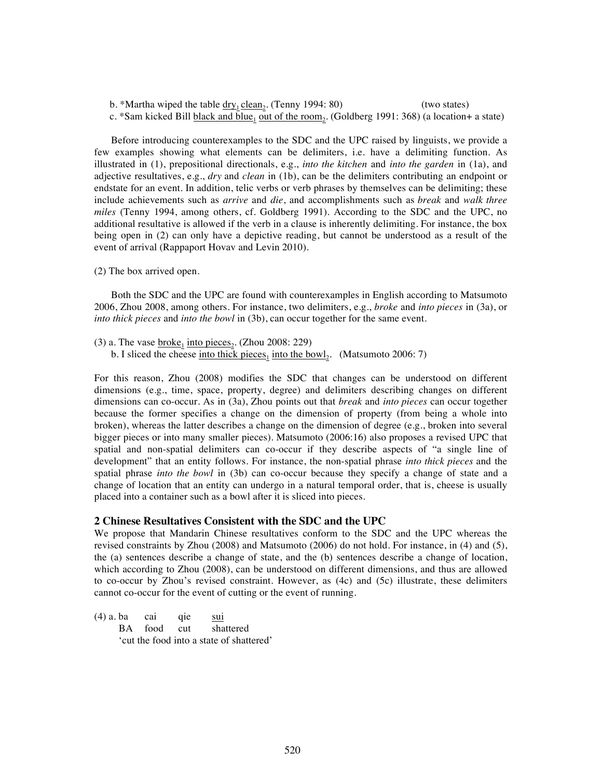b. \*Martha wiped the table  $\frac{dry_1 clean_2}$ . (Tenny 1994: 80) (two states) c. \*Sam kicked Bill black and blue<sub>1</sub> out of the room<sub>2</sub>. (Goldberg 1991: 368) (a location+ a state)

Before introducing counterexamples to the SDC and the UPC raised by linguists, we provide a few examples showing what elements can be delimiters, i.e. have a delimiting function. As illustrated in (1), prepositional directionals, e.g., *into the kitchen* and *into the garden* in (1a), and adjective resultatives, e.g., *dry* and *clean* in (1b), can be the delimiters contributing an endpoint or endstate for an event. In addition, telic verbs or verb phrases by themselves can be delimiting; these include achievements such as *arrive* and *die*, and accomplishments such as *break* and *walk three miles* (Tenny 1994, among others, cf. Goldberg 1991). According to the SDC and the UPC, no additional resultative is allowed if the verb in a clause is inherently delimiting. For instance, the box being open in (2) can only have a depictive reading, but cannot be understood as a result of the event of arrival (Rappaport Hovav and Levin 2010).

(2) The box arrived open.

Both the SDC and the UPC are found with counterexamples in English according to Matsumoto 2006, Zhou 2008, among others. For instance, two delimiters, e.g., *broke* and *into pieces* in (3a), or *into thick pieces* and *into the bowl* in (3b), can occur together for the same event.

(3) a. The vase  $\frac{broke_1}{i}$  into pieces<sub>2</sub>. (Zhou 2008: 229) b. I sliced the cheese <u>into thick pieces<sub>1</sub> into the bowl</u><sub>2</sub>. (Matsumoto 2006: 7)

For this reason, Zhou (2008) modifies the SDC that changes can be understood on different dimensions (e.g., time, space, property, degree) and delimiters describing changes on different dimensions can co-occur. As in (3a), Zhou points out that *break* and *into pieces* can occur together because the former specifies a change on the dimension of property (from being a whole into broken), whereas the latter describes a change on the dimension of degree (e.g., broken into several bigger pieces or into many smaller pieces). Matsumoto (2006:16) also proposes a revised UPC that spatial and non-spatial delimiters can co-occur if they describe aspects of "a single line of development" that an entity follows. For instance, the non-spatial phrase *into thick pieces* and the spatial phrase *into the bowl* in (3b) can co-occur because they specify a change of state and a change of location that an entity can undergo in a natural temporal order, that is, cheese is usually placed into a container such as a bowl after it is sliced into pieces.

### **2 Chinese Resultatives Consistent with the SDC and the UPC**

We propose that Mandarin Chinese resultatives conform to the SDC and the UPC whereas the revised constraints by Zhou (2008) and Matsumoto (2006) do not hold. For instance, in (4) and (5), the (a) sentences describe a change of state, and the (b) sentences describe a change of location, which according to Zhou (2008), can be understood on different dimensions, and thus are allowed to co-occur by Zhou's revised constraint. However, as (4c) and (5c) illustrate, these delimiters cannot co-occur for the event of cutting or the event of running.

(4) a. ba cai qie sui BA food cut shattered 'cut the food into a state of shattered'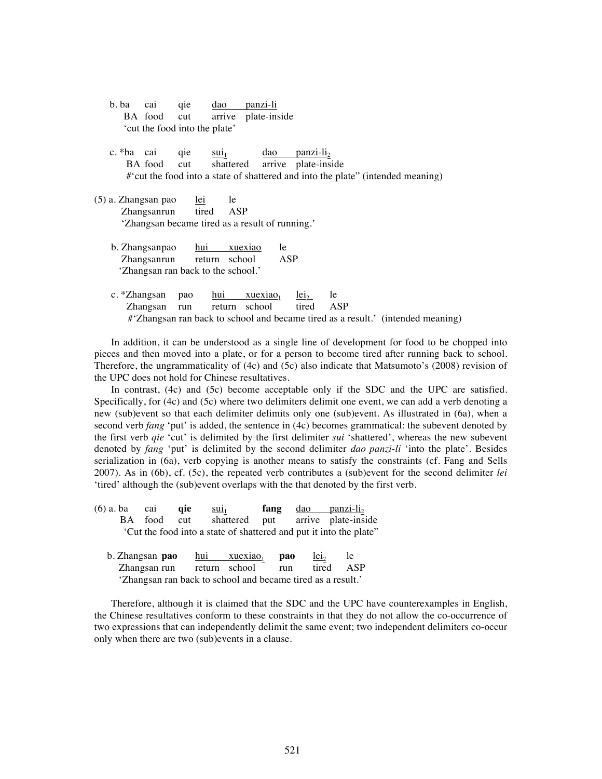| b. ba | cai            | qie                           | $\frac{dao}{a}$                    | panzi-li                                        |                          |    |                                                                                  |  |
|-------|----------------|-------------------------------|------------------------------------|-------------------------------------------------|--------------------------|----|----------------------------------------------------------------------------------|--|
|       |                | BA food cut                   |                                    | arrive plate-inside                             |                          |    |                                                                                  |  |
|       |                | 'cut the food into the plate' |                                    |                                                 |                          |    |                                                                                  |  |
|       |                |                               |                                    |                                                 |                          |    |                                                                                  |  |
|       | c. *ba cai qie |                               | $\overline{\text{su}_{1}}$         |                                                 | $\frac{dao}{panzi-li_2}$ |    |                                                                                  |  |
|       |                | BA food cut                   |                                    | shattered arrive plate-inside                   |                          |    |                                                                                  |  |
|       |                |                               |                                    |                                                 |                          |    | #' cut the food into a state of shattered and into the plate" (intended meaning) |  |
|       |                |                               |                                    |                                                 |                          |    |                                                                                  |  |
|       |                | (5) a. Zhangsan pao lei le    |                                    |                                                 |                          |    |                                                                                  |  |
|       |                |                               | Zhangsanrun tired ASP              |                                                 |                          |    |                                                                                  |  |
|       |                |                               |                                    | 'Zhangsan became tired as a result of running.' |                          |    |                                                                                  |  |
|       |                |                               |                                    |                                                 |                          |    |                                                                                  |  |
|       |                |                               | b. Zhangsanpao hui xuexiao         | le                                              |                          |    |                                                                                  |  |
|       |                |                               | Zhangsanrun return school          | ASP                                             |                          |    |                                                                                  |  |
|       |                |                               | 'Zhangsan ran back to the school.' |                                                 |                          |    |                                                                                  |  |
|       |                |                               |                                    |                                                 |                          |    |                                                                                  |  |
|       |                | c. *Zhangsan pao              |                                    | <u>hui xuexiao<sub>1</sub> lei</u> <sub>2</sub> |                          | le |                                                                                  |  |
|       |                | Zhangsan run                  |                                    | return school tired ASP                         |                          |    |                                                                                  |  |
|       |                |                               |                                    |                                                 |                          |    | #'Zhangsan ran back to school and became tired as a result.' (intended meaning)  |  |
|       |                |                               |                                    |                                                 |                          |    |                                                                                  |  |

In addition, it can be understood as a single line of development for food to be chopped into pieces and then moved into a plate, or for a person to become tired after running back to school. Therefore, the ungrammaticality of (4c) and (5c) also indicate that Matsumoto's (2008) revision of the UPC does not hold for Chinese resultatives.

In contrast, (4c) and (5c) become acceptable only if the SDC and the UPC are satisfied. Specifically, for (4c) and (5c) where two delimiters delimit one event, we can add a verb denoting a new (sub)event so that each delimiter delimits only one (sub)event. As illustrated in (6a), when a second verb *fang* 'put' is added, the sentence in (4c) becomes grammatical: the subevent denoted by the first verb *qie* 'cut' is delimited by the first delimiter *sui* 'shattered', whereas the new subevent denoted by *fang* 'put' is delimited by the second delimiter *dao panzi-li* 'into the plate'. Besides serialization in (6a), verb copying is another means to satisfy the constraints (cf. Fang and Sells 2007). As in (6b), cf. (5c), the repeated verb contributes a (sub)event for the second delimiter *lei*  'tired' although the (sub)event overlaps with the that denoted by the first verb.

| $(6)$ a. ba cai qie |  | $\frac{SU1}{1}$ |  | <b>fang</b> dao panzi-li <sub>2</sub>                             |
|---------------------|--|-----------------|--|-------------------------------------------------------------------|
|                     |  |                 |  | BA food cut shattered put arrive plate-inside                     |
|                     |  |                 |  | Cut the food into a state of shattered and put it into the plate" |

| b. Zhangsan pao                                             | hui $xuexiao_1$ | <b>pao</b> | $1e_{12}$ | le  |
|-------------------------------------------------------------|-----------------|------------|-----------|-----|
| Zhangsan run return school                                  |                 | run        | tired     | ASP |
| 'Zhangsan ran back to school and became tired as a result.' |                 |            |           |     |

Therefore, although it is claimed that the SDC and the UPC have counterexamples in English, the Chinese resultatives conform to these constraints in that they do not allow the co-occurrence of two expressions that can independently delimit the same event; two independent delimiters co-occur only when there are two (sub)events in a clause.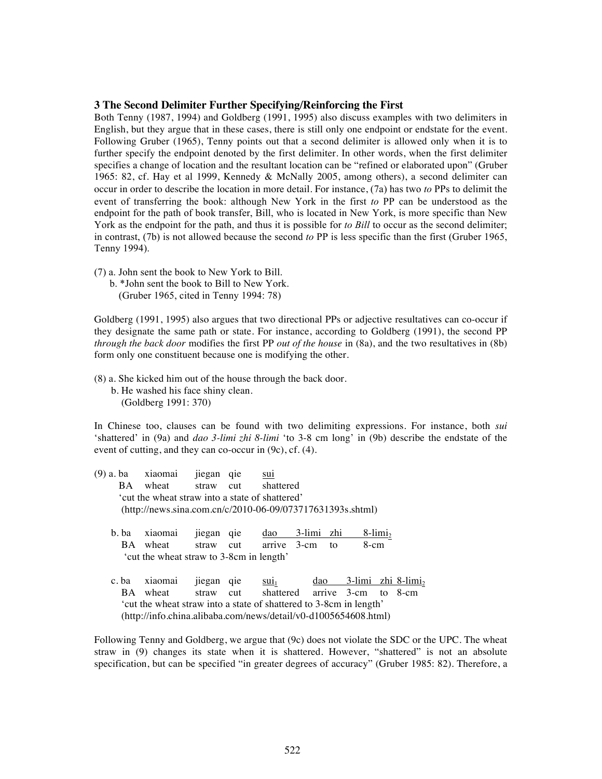### **3 The Second Delimiter Further Specifying/Reinforcing the First**

Both Tenny (1987, 1994) and Goldberg (1991, 1995) also discuss examples with two delimiters in English, but they argue that in these cases, there is still only one endpoint or endstate for the event. Following Gruber (1965), Tenny points out that a second delimiter is allowed only when it is to further specify the endpoint denoted by the first delimiter. In other words, when the first delimiter specifies a change of location and the resultant location can be "refined or elaborated upon" (Gruber 1965: 82, cf. Hay et al 1999, Kennedy & McNally 2005, among others), a second delimiter can occur in order to describe the location in more detail. For instance, (7a) has two *to* PPs to delimit the event of transferring the book: although New York in the first *to* PP can be understood as the endpoint for the path of book transfer, Bill, who is located in New York, is more specific than New York as the endpoint for the path, and thus it is possible for *to Bill* to occur as the second delimiter; in contrast, (7b) is not allowed because the second *to* PP is less specific than the first (Gruber 1965, Tenny 1994).

- (7) a. John sent the book to New York to Bill.
	- b. \*John sent the book to Bill to New York. (Gruber 1965, cited in Tenny 1994: 78)

Goldberg (1991, 1995) also argues that two directional PPs or adjective resultatives can co-occur if they designate the same path or state. For instance, according to Goldberg (1991), the second PP *through the back door* modifies the first PP *out of the house* in (8a), and the two resultatives in (8b) form only one constituent because one is modifying the other.

(8) a. She kicked him out of the house through the back door. b. He washed his face shiny clean. (Goldberg 1991: 370)

In Chinese too, clauses can be found with two delimiting expressions. For instance, both *sui* 'shattered' in (9a) and *dao 3-limi zhi 8-limi* 'to 3-8 cm long' in (9b) describe the endstate of the event of cutting, and they can co-occur in (9c), cf. (4).

| (9) a. ba                                                  | xiaomai                                                            | jiegan    | qie | sui                           |  |                |                                              |                        |  |  |  |
|------------------------------------------------------------|--------------------------------------------------------------------|-----------|-----|-------------------------------|--|----------------|----------------------------------------------|------------------------|--|--|--|
| BA.                                                        | wheat straw cut                                                    |           |     | shattered                     |  |                |                                              |                        |  |  |  |
| 'cut the wheat straw into a state of shattered'            |                                                                    |           |     |                               |  |                |                                              |                        |  |  |  |
| (http://news.sina.com.cn/c/2010-06-09/073717631393s.shtml) |                                                                    |           |     |                               |  |                |                                              |                        |  |  |  |
|                                                            |                                                                    |           |     |                               |  |                |                                              |                        |  |  |  |
| b. ba                                                      | xiaomai                                                            | jiegan    | qie | dao                           |  | 3-limi zhi     |                                              | $8$ -limi <sub>2</sub> |  |  |  |
|                                                            | BA wheat                                                           | straw cut |     | arrive 3-cm                   |  | $\overline{t}$ | $8$ -cm                                      |                        |  |  |  |
| 'cut the wheat straw to 3-8cm in length'                   |                                                                    |           |     |                               |  |                |                                              |                        |  |  |  |
|                                                            |                                                                    |           |     |                               |  |                |                                              |                        |  |  |  |
| c.ba                                                       | xiaomai                                                            | jiegan    | qie | $\overline{\text{su}_{1}}$    |  |                | $\frac{dao}{3-limi}$ zhi 8-limi <sub>2</sub> |                        |  |  |  |
| BA.                                                        | wheat                                                              | straw cut |     | shattered arrive 3-cm to 8-cm |  |                |                                              |                        |  |  |  |
|                                                            | 'cut the wheat straw into a state of shattered to 3-8cm in length' |           |     |                               |  |                |                                              |                        |  |  |  |
|                                                            | (http://info.china.alibaba.com/news/detail/v0-d1005654608.html)    |           |     |                               |  |                |                                              |                        |  |  |  |
|                                                            |                                                                    |           |     |                               |  |                |                                              |                        |  |  |  |

Following Tenny and Goldberg, we argue that (9c) does not violate the SDC or the UPC. The wheat straw in (9) changes its state when it is shattered. However, "shattered" is not an absolute specification, but can be specified "in greater degrees of accuracy" (Gruber 1985: 82). Therefore, a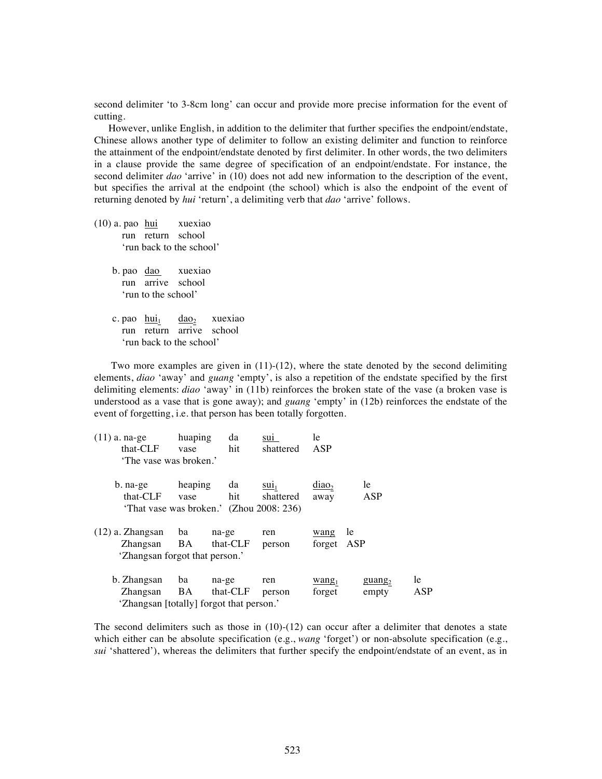second delimiter 'to 3-8cm long' can occur and provide more precise information for the event of cutting.

However, unlike English, in addition to the delimiter that further specifies the endpoint/endstate, Chinese allows another type of delimiter to follow an existing delimiter and function to reinforce the attainment of the endpoint/endstate denoted by first delimiter. In other words, the two delimiters in a clause provide the same degree of specification of an endpoint/endstate. For instance, the second delimiter *dao* 'arrive' in (10) does not add new information to the description of the event, but specifies the arrival at the endpoint (the school) which is also the endpoint of the event of returning denoted by *hui* 'return', a delimiting verb that *dao* 'arrive' follows.

(10) a. pao hui xuexiao run return school 'run back to the school'

> b. pao dao xuexiao run arrive school 'run to the school'

c. pao  $\frac{hui_1}{du_2}$  dao<sub>2</sub> xuexiao run return arrive school 'run back to the school'

Two more examples are given in (11)-(12), where the state denoted by the second delimiting elements, *diao* 'away' and *guang* 'empty', is also a repetition of the endstate specified by the first delimiting elements: *diao* 'away' in (11b) reinforces the broken state of the vase (a broken vase is understood as a vase that is gone away); and *guang* 'empty' in (12b) reinforces the endstate of the event of forgetting, i.e. that person has been totally forgotten.

| $(11)$ a. na-ge                          | huaping | da       | suı             | le                |                     |     |
|------------------------------------------|---------|----------|-----------------|-------------------|---------------------|-----|
| that-CLF                                 | vase    | hit      | shattered       | ASP               |                     |     |
| 'The vase was broken.'                   |         |          |                 |                   |                     |     |
| b. na-ge                                 | heaping | da       | SU <sub>1</sub> | diao <sub>2</sub> | le                  |     |
| that-CLF                                 | vase    | hit      | shattered       | away              | ASP                 |     |
| 'That vase was broken.' (Zhou 2008: 236) |         |          |                 |                   |                     |     |
| $(12)$ a. Zhangsan                       | ba      | na-ge    | ren             | wang              | le                  |     |
| Zhangsan                                 | BA      | that-CLF | person          | forget            | ASP                 |     |
| 'Zhangsan forgot that person.'           |         |          |                 |                   |                     |     |
| b. Zhangsan                              | ba      | na-ge    | ren             | $\text{wang}_1$   | $\frac{guang_2}{g}$ | le  |
| Zhangsan                                 | BA      | that-CLF | person          | forget            | empty               | ASP |
| 'Zhangsan [totally] forgot that person.' |         |          |                 |                   |                     |     |

The second delimiters such as those in  $(10)-(12)$  can occur after a delimiter that denotes a state which either can be absolute specification (e.g., *wang* 'forget') or non-absolute specification (e.g., *sui* 'shattered'), whereas the delimiters that further specify the endpoint/endstate of an event, as in